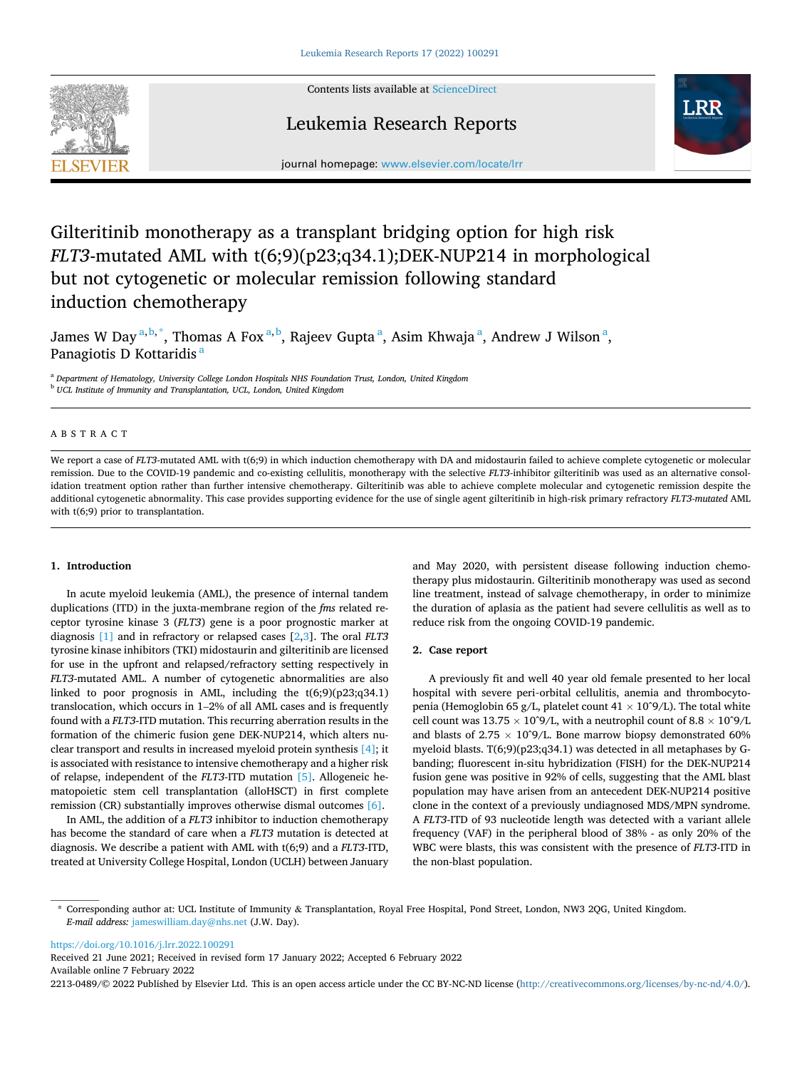

Contents lists available at [ScienceDirect](www.sciencedirect.com/science/journal/22130489)

# Leukemia Research Reports



journal homepage: [www.elsevier.com/locate/lrr](https://www.elsevier.com/locate/lrr) 

# Gilteritinib monotherapy as a transplant bridging option for high risk *FLT3*-mutated AML with t(6;9)(p23;q34.1);DEK-NUP214 in morphological but not cytogenetic or molecular remission following standard induction chemotherapy

James W Day  $\mathrm{^{a,b,\stackrel{*}{*}}},$  Thomas A Fox  $\mathrm{^{a,b},}$  Rajeev Gupta  $\mathrm{^a},$  Asim Khwaja  $\mathrm{^a},$  Andrew J Wilson  $\mathrm{^a},$ Panagiotis D Kottaridis<sup>a</sup>

<sup>a</sup> *Department of Hematology, University College London Hospitals NHS Foundation Trust, London, United Kingdom* <sup>b</sup> *UCL Institute of Immunity and Transplantation, UCL, London, United Kingdom* 

# ABSTRACT

We report a case of *FLT3*-mutated AML with t(6;9) in which induction chemotherapy with DA and midostaurin failed to achieve complete cytogenetic or molecular remission. Due to the COVID-19 pandemic and co-existing cellulitis, monotherapy with the selective *FLT3-*inhibitor gilteritinib was used as an alternative consolidation treatment option rather than further intensive chemotherapy. Gilteritinib was able to achieve complete molecular and cytogenetic remission despite the additional cytogenetic abnormality. This case provides supporting evidence for the use of single agent gilteritinib in high-risk primary refractory *FLT3-mutated* AML with t(6;9) prior to transplantation.

# **1. Introduction**

In acute myeloid leukemia (AML), the presence of internal tandem duplications (ITD) in the juxta-membrane region of the *fms* related receptor tyrosine kinase 3 (*FLT3*) gene is a poor prognostic marker at diagnosis [\[1\]](#page-1-0) and in refractory or relapsed cases [\[2,3\]](#page-1-0). The oral *FLT3*  tyrosine kinase inhibitors (TKI) midostaurin and gilteritinib are licensed for use in the upfront and relapsed/refractory setting respectively in *FLT3*-mutated AML. A number of cytogenetic abnormalities are also linked to poor prognosis in AML, including the t(6;9)(p23;q34.1) translocation, which occurs in 1–2% of all AML cases and is frequently found with a *FLT3*-ITD mutation. This recurring aberration results in the formation of the chimeric fusion gene DEK-NUP214, which alters nuclear transport and results in increased myeloid protein synthesis [\[4\]](#page-1-0); it is associated with resistance to intensive chemotherapy and a higher risk of relapse, independent of the *FLT3*-ITD mutation [\[5\].](#page-1-0) Allogeneic hematopoietic stem cell transplantation (alloHSCT) in first complete remission (CR) substantially improves otherwise dismal outcomes [\[6\].](#page-1-0)

In AML, the addition of a *FLT3* inhibitor to induction chemotherapy has become the standard of care when a *FLT3* mutation is detected at diagnosis. We describe a patient with AML with t(6;9) and a *FLT3*-ITD, treated at University College Hospital, London (UCLH) between January and May 2020, with persistent disease following induction chemotherapy plus midostaurin. Gilteritinib monotherapy was used as second line treatment, instead of salvage chemotherapy, in order to minimize the duration of aplasia as the patient had severe cellulitis as well as to reduce risk from the ongoing COVID-19 pandemic.

#### **2. Case report**

A previously fit and well 40 year old female presented to her local hospital with severe peri‑orbital cellulitis, anemia and thrombocytopenia (Hemoglobin 65 g/L, platelet count 41  $\times$  10^9/L). The total white cell count was  $13.75 \times 10^6$ /L, with a neutrophil count of  $8.8 \times 10^6$ /L and blasts of  $2.75 \times 10^9$ /L. Bone marrow biopsy demonstrated 60% myeloid blasts. T(6;9)(p23;q34.1) was detected in all metaphases by Gbanding; fluorescent in-situ hybridization (FISH) for the DEK-NUP214 fusion gene was positive in 92% of cells, suggesting that the AML blast population may have arisen from an antecedent DEK-NUP214 positive clone in the context of a previously undiagnosed MDS/MPN syndrome. A *FLT3*-ITD of 93 nucleotide length was detected with a variant allele frequency (VAF) in the peripheral blood of 38% - as only 20% of the WBC were blasts, this was consistent with the presence of *FLT3*-ITD in the non-blast population.

<https://doi.org/10.1016/j.lrr.2022.100291>

Available online 7 February 2022 2213-0489/© 2022 Published by Elsevier Ltd. This is an open access article under the CC BY-NC-ND license [\(http://creativecommons.org/licenses/by-nc-nd/4.0/\)](http://creativecommons.org/licenses/by-nc-nd/4.0/). Received 21 June 2021; Received in revised form 17 January 2022; Accepted 6 February 2022

<sup>\*</sup> Corresponding author at: UCL Institute of Immunity & Transplantation, Royal Free Hospital, Pond Street, London, NW3 2QG, United Kingdom. *E-mail address:* [jameswilliam.day@nhs.net](mailto:jameswilliam.day@nhs.net) (J.W. Day).